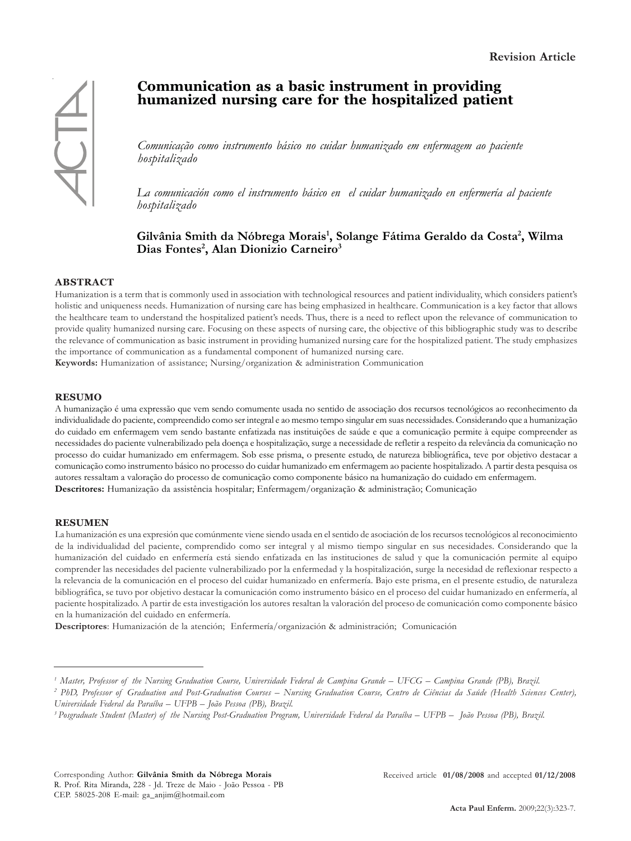# **Communication as a basic instrument in providing humanized nursing care for the hospitalized patient**

Comunicação como instrumento básico no cuidar humanizado em enfermagem ao paciente *hospitalizado*

La comunicación como el instrumento básico en el cuidar humanizado en enfermería al paciente *hospitalizado*

# Gilvânia Smith da Nóbrega Morais<sup>1</sup>, Solange Fátima Geraldo da Costa<sup>2</sup>, Wilma Dias Fontes<sup>2</sup>, Alan Dionizio Carneiro<sup>3</sup>

# **ABSTRACT**

 $\frac{4}{\sqrt{2}}$ 

Humanization is a term that is commonly used in association with technological resources and patient individuality, which considers patientís holistic and uniqueness needs. Humanization of nursing care has being emphasized in healthcare. Communication is a key factor that allows the healthcare team to understand the hospitalized patient's needs. Thus, there is a need to reflect upon the relevance of communication to provide quality humanized nursing care. Focusing on these aspects of nursing care, the objective of this bibliographic study was to describe the relevance of communication as basic instrument in providing humanized nursing care for the hospitalized patient. The study emphasizes the importance of communication as a fundamental component of humanized nursing care.

**Keywords:** Humanization of assistance; Nursing/organization & administration Communication

#### **RESUMO**

A humanização é uma expressão que vem sendo comumente usada no sentido de associação dos recursos tecnológicos ao reconhecimento da individualidade do paciente, compreendido como ser integral e ao mesmo tempo singular em suas necessidades. Considerando que a humanização do cuidado em enfermagem vem sendo bastante enfatizada nas instituições de saúde e que a comunicação permite à equipe compreender as necessidades do paciente vulnerabilizado pela doença e hospitalização, surge a necessidade de refletir a respeito da relevância da comunicação no processo do cuidar humanizado em enfermagem. Sob esse prisma, o presente estudo, de natureza bibliográfica, teve por objetivo destacar a comunicação como instrumento básico no processo do cuidar humanizado em enfermagem ao paciente hospitalizado. A partir desta pesquisa os autores ressaltam a valoração do processo de comunicação como componente básico na humanização do cuidado em enfermagem. Descritores: Humanização da assistência hospitalar; Enfermagem/organização & administração; Comunicação

#### **RESUMEN**

La humanización es una expresión que comúnmente viene siendo usada en el sentido de asociación de los recursos tecnológicos al reconocimiento de la individualidad del paciente, comprendido como ser integral y al mismo tiempo singular en sus necesidades. Considerando que la humanización del cuidado en enfermería está siendo enfatizada en las instituciones de salud y que la comunicación permite al equipo comprender las necesidades del paciente vulnerabilizado por la enfermedad y la hospitalización, surge la necesidad de reflexionar respecto a la relevancia de la comunicación en el proceso del cuidar humanizado en enfermería. Bajo este prisma, en el presente estudio, de naturaleza bibliográfica, se tuvo por objetivo destacar la comunicación como instrumento básico en el proceso del cuidar humanizado en enfermería, al paciente hospitalizado. A partir de esta investigación los autores resaltan la valoración del proceso de comunicación como componente básico en la humanización del cuidado en enfermería.

Descriptores: Humanización de la atención; Enfermería/organización & administración; Comunicación

Received article **01/08/2008** and accepted **01/12/2008**

<sup>&</sup>lt;sup>1</sup> Master, Professor of the Nursing Graduation Course, Universidade Federal de Campina Grande – UFCG – Campina Grande (PB), Brazil.

<sup>&</sup>lt;sup>2</sup> PhD, Professor of Graduation and Post-Graduation Courses – Nursing Graduation Course, Centro de Ciências da Saúde (Health Sciences Center), *Universidade Federal da Paraíba - UFPB - João Pessoa (PB), Brazil.* 

<sup>&</sup>lt;sup>3</sup> Posgraduate Student (Master) of the Nursing Post-Graduation Program, Universidade Federal da Paraíba – UFPB – João Pessoa (PB), Brazil.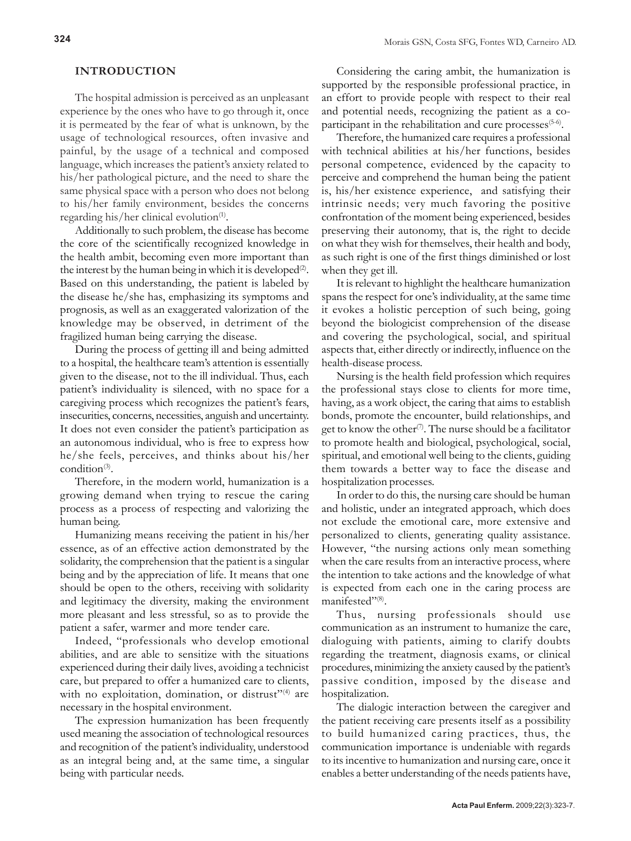# **INTRODUCTION**

The hospital admission is perceived as an unpleasant experience by the ones who have to go through it, once it is permeated by the fear of what is unknown, by the usage of technological resources, often invasive and painful, by the usage of a technical and composed language, which increases the patient's anxiety related to his/her pathological picture, and the need to share the same physical space with a person who does not belong to his/her family environment, besides the concerns regarding his/her clinical evolution<sup>(1)</sup>.

Additionally to such problem, the disease has become the core of the scientifically recognized knowledge in the health ambit, becoming even more important than the interest by the human being in which it is developed<sup>(2)</sup>. Based on this understanding, the patient is labeled by the disease he/she has, emphasizing its symptoms and prognosis, as well as an exaggerated valorization of the knowledge may be observed, in detriment of the fragilized human being carrying the disease.

During the process of getting ill and being admitted to a hospital, the healthcare team's attention is essentially given to the disease, not to the ill individual. Thus, each patient's individuality is silenced, with no space for a caregiving process which recognizes the patient's fears, insecurities, concerns, necessities, anguish and uncertainty. It does not even consider the patient's participation as an autonomous individual, who is free to express how he/she feels, perceives, and thinks about his/her condition $(3)$ .

Therefore, in the modern world, humanization is a growing demand when trying to rescue the caring process as a process of respecting and valorizing the human being.

Humanizing means receiving the patient in his/her essence, as of an effective action demonstrated by the solidarity, the comprehension that the patient is a singular being and by the appreciation of life. It means that one should be open to the others, receiving with solidarity and legitimacy the diversity, making the environment more pleasant and less stressful, so as to provide the patient a safer, warmer and more tender care.

Indeed, "professionals who develop emotional abilities, and are able to sensitize with the situations experienced during their daily lives, avoiding a technicist care, but prepared to offer a humanized care to clients, with no exploitation, domination, or distrust" $(4)$  are necessary in the hospital environment.

The expression humanization has been frequently used meaning the association of technological resources and recognition of the patient's individuality, understood as an integral being and, at the same time, a singular being with particular needs.

Considering the caring ambit, the humanization is supported by the responsible professional practice, in an effort to provide people with respect to their real and potential needs, recognizing the patient as a coparticipant in the rehabilitation and cure processes<sup>(5-6)</sup>.

Therefore, the humanized care requires a professional with technical abilities at his/her functions, besides personal competence, evidenced by the capacity to perceive and comprehend the human being the patient is, his/her existence experience, and satisfying their intrinsic needs; very much favoring the positive confrontation of the moment being experienced, besides preserving their autonomy, that is, the right to decide on what they wish for themselves, their health and body, as such right is one of the first things diminished or lost when they get ill.

It is relevant to highlight the healthcare humanization spans the respect for one's individuality, at the same time it evokes a holistic perception of such being, going beyond the biologicist comprehension of the disease and covering the psychological, social, and spiritual aspects that, either directly or indirectly, influence on the health-disease process.

Nursing is the health field profession which requires the professional stays close to clients for more time, having, as a work object, the caring that aims to establish bonds, promote the encounter, build relationships, and get to know the other<sup>(7)</sup>. The nurse should be a facilitator to promote health and biological, psychological, social, spiritual, and emotional well being to the clients, guiding them towards a better way to face the disease and hospitalization processes.

In order to do this, the nursing care should be human and holistic, under an integrated approach, which does not exclude the emotional care, more extensive and personalized to clients, generating quality assistance. However, "the nursing actions only mean something when the care results from an interactive process, where the intention to take actions and the knowledge of what is expected from each one in the caring process are manifested"<sup>(8)</sup>.

Thus, nursing professionals should use communication as an instrument to humanize the care, dialoguing with patients, aiming to clarify doubts regarding the treatment, diagnosis exams, or clinical procedures, minimizing the anxiety caused by the patient's passive condition, imposed by the disease and hospitalization.

The dialogic interaction between the caregiver and the patient receiving care presents itself as a possibility to build humanized caring practices, thus, the communication importance is undeniable with regards to its incentive to humanization and nursing care, once it enables a better understanding of the needs patients have,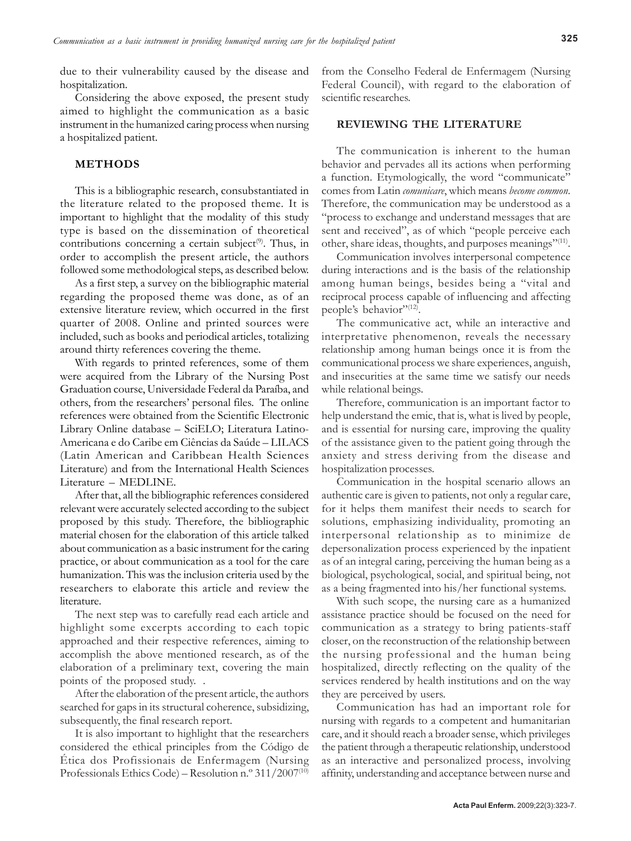due to their vulnerability caused by the disease and hospitalization.

Considering the above exposed, the present study aimed to highlight the communication as a basic instrument in the humanized caring process when nursing a hospitalized patient.

## **METHODS**

This is a bibliographic research, consubstantiated in the literature related to the proposed theme. It is important to highlight that the modality of this study type is based on the dissemination of theoretical contributions concerning a certain subject $(9)$ . Thus, in order to accomplish the present article, the authors followed some methodological steps, as described below.

As a first step, a survey on the bibliographic material regarding the proposed theme was done, as of an extensive literature review, which occurred in the first quarter of 2008. Online and printed sources were included, such as books and periodical articles, totalizing around thirty references covering the theme.

With regards to printed references, some of them were acquired from the Library of the Nursing Post Graduation course, Universidade Federal da ParaÌba, and others, from the researchers' personal files. The online references were obtained from the Scientific Electronic Library Online database - SciELO; Literatura Latino-Americana e do Caribe em Ciências da Saúde - LILACS (Latin American and Caribbean Health Sciences Literature) and from the International Health Sciences Literature - MEDLINE.

After that, all the bibliographic references considered relevant were accurately selected according to the subject proposed by this study. Therefore, the bibliographic material chosen for the elaboration of this article talked about communication as a basic instrument for the caring practice, or about communication as a tool for the care humanization. This was the inclusion criteria used by the researchers to elaborate this article and review the literature.

The next step was to carefully read each article and highlight some excerpts according to each topic approached and their respective references, aiming to accomplish the above mentioned research, as of the elaboration of a preliminary text, covering the main points of the proposed study. .

After the elaboration of the present article, the authors searched for gaps in its structural coherence, subsidizing, subsequently, the final research report.

It is also important to highlight that the researchers considered the ethical principles from the Código de Etica dos Profissionais de Enfermagem (Nursing Professionals Ethics Code) – Resolution n.º 311/2007<sup>(10)</sup>

from the Conselho Federal de Enfermagem (Nursing Federal Council), with regard to the elaboration of scientific researches.

# **REVIEWING THE LITERATURE**

The communication is inherent to the human behavior and pervades all its actions when performing a function. Etymologically, the word "communicate" comes from Latin *comunicare*, which means *become common*. Therefore, the communication may be understood as a ìprocess to exchange and understand messages that are sent and received", as of which "people perceive each other, share ideas, thoughts, and purposes meanings"<sup>(11)</sup>.

Communication involves interpersonal competence during interactions and is the basis of the relationship among human beings, besides being a "vital and reciprocal process capable of influencing and affecting people's behavior"<sup>(12)</sup>.

The communicative act, while an interactive and interpretative phenomenon, reveals the necessary relationship among human beings once it is from the communicational process we share experiences, anguish, and insecurities at the same time we satisfy our needs while relational beings.

Therefore, communication is an important factor to help understand the emic, that is, what is lived by people, and is essential for nursing care, improving the quality of the assistance given to the patient going through the anxiety and stress deriving from the disease and hospitalization processes.

Communication in the hospital scenario allows an authentic care is given to patients, not only a regular care, for it helps them manifest their needs to search for solutions, emphasizing individuality, promoting an interpersonal relationship as to minimize de depersonalization process experienced by the inpatient as of an integral caring, perceiving the human being as a biological, psychological, social, and spiritual being, not as a being fragmented into his/her functional systems.

With such scope, the nursing care as a humanized assistance practice should be focused on the need for communication as a strategy to bring patients-staff closer, on the reconstruction of the relationship between the nursing professional and the human being hospitalized, directly reflecting on the quality of the services rendered by health institutions and on the way they are perceived by users.

Communication has had an important role for nursing with regards to a competent and humanitarian care, and it should reach a broader sense, which privileges the patient through a therapeutic relationship, understood as an interactive and personalized process, involving affinity, understanding and acceptance between nurse and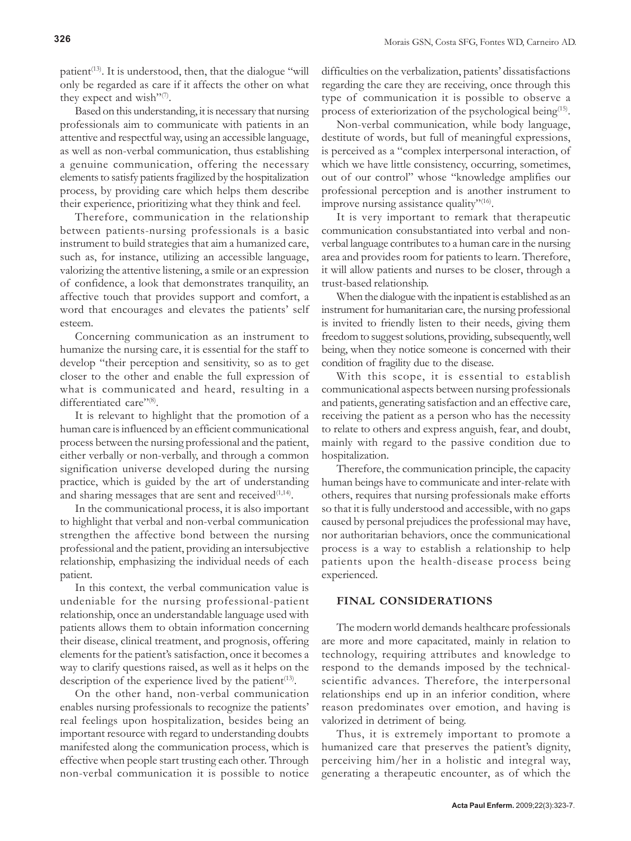patient $(13)$ . It is understood, then, that the dialogue "will only be regarded as care if it affects the other on what they expect and wish $"^{\text{\textcircled{\tiny 7}}}.$ 

Based on this understanding, it is necessary that nursing professionals aim to communicate with patients in an attentive and respectful way, using an accessible language, as well as non-verbal communication, thus establishing a genuine communication, offering the necessary elements to satisfy patients fragilized by the hospitalization process, by providing care which helps them describe their experience, prioritizing what they think and feel.

Therefore, communication in the relationship between patients-nursing professionals is a basic instrument to build strategies that aim a humanized care, such as, for instance, utilizing an accessible language, valorizing the attentive listening, a smile or an expression of confidence, a look that demonstrates tranquility, an affective touch that provides support and comfort, a word that encourages and elevates the patients' self esteem.

Concerning communication as an instrument to humanize the nursing care, it is essential for the staff to develop "their perception and sensitivity, so as to get closer to the other and enable the full expression of what is communicated and heard, resulting in a differentiated care $^{\prime\prime(8)}$ .

It is relevant to highlight that the promotion of a human care is influenced by an efficient communicational process between the nursing professional and the patient, either verbally or non-verbally, and through a common signification universe developed during the nursing practice, which is guided by the art of understanding and sharing messages that are sent and received $(1,14)$ .

In the communicational process, it is also important to highlight that verbal and non-verbal communication strengthen the affective bond between the nursing professional and the patient, providing an intersubjective relationship, emphasizing the individual needs of each patient.

In this context, the verbal communication value is undeniable for the nursing professional-patient relationship, once an understandable language used with patients allows them to obtain information concerning their disease, clinical treatment, and prognosis, offering elements for the patient's satisfaction, once it becomes a way to clarify questions raised, as well as it helps on the description of the experience lived by the patient<sup> $(13)$ </sup>.

On the other hand, non-verbal communication enables nursing professionals to recognize the patients' real feelings upon hospitalization, besides being an important resource with regard to understanding doubts manifested along the communication process, which is effective when people start trusting each other. Through non-verbal communication it is possible to notice

difficulties on the verbalization, patients' dissatisfactions regarding the care they are receiving, once through this type of communication it is possible to observe a process of exteriorization of the psychological being<sup>(15)</sup>.

Non-verbal communication, while body language, destitute of words, but full of meaningful expressions, is perceived as a "complex interpersonal interaction, of which we have little consistency, occurring, sometimes, out of our control" whose "knowledge amplifies our professional perception and is another instrument to improve nursing assistance quality"<sup>(16)</sup>.

It is very important to remark that therapeutic communication consubstantiated into verbal and nonverbal language contributes to a human care in the nursing area and provides room for patients to learn. Therefore, it will allow patients and nurses to be closer, through a trust-based relationship.

When the dialogue with the inpatient is established as an instrument for humanitarian care, the nursing professional is invited to friendly listen to their needs, giving them freedom to suggest solutions, providing, subsequently, well being, when they notice someone is concerned with their condition of fragility due to the disease.

With this scope, it is essential to establish communicational aspects between nursing professionals and patients, generating satisfaction and an effective care, receiving the patient as a person who has the necessity to relate to others and express anguish, fear, and doubt, mainly with regard to the passive condition due to hospitalization.

Therefore, the communication principle, the capacity human beings have to communicate and inter-relate with others, requires that nursing professionals make efforts so that it is fully understood and accessible, with no gaps caused by personal prejudices the professional may have, nor authoritarian behaviors, once the communicational process is a way to establish a relationship to help patients upon the health-disease process being experienced.

## **FINAL CONSIDERATIONS**

The modern world demands healthcare professionals are more and more capacitated, mainly in relation to technology, requiring attributes and knowledge to respond to the demands imposed by the technicalscientific advances. Therefore, the interpersonal relationships end up in an inferior condition, where reason predominates over emotion, and having is valorized in detriment of being.

Thus, it is extremely important to promote a humanized care that preserves the patient's dignity, perceiving him/her in a holistic and integral way, generating a therapeutic encounter, as of which the